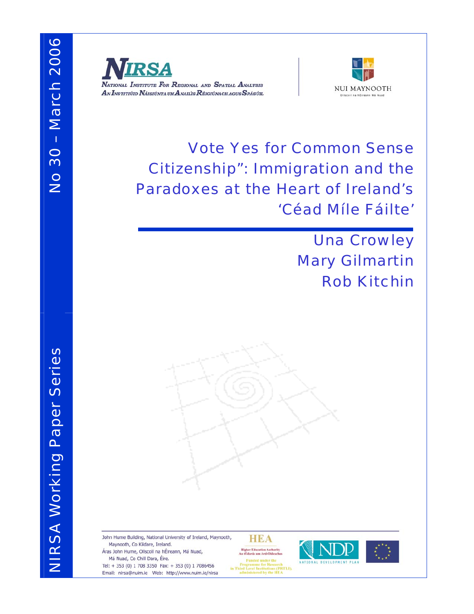



Vote Yes for Common Sense Citizenship": Immigration and the Paradoxes at the Heart of Ireland's 'Céad Míle Fáilte'

> Una Crowley Mary Gilmartin Rob Kitchin

John Hume Building, National University of Ireland, Maynooth, Maynooth, Co Kildare, Ireland. Áras John Hume, Ollscoil na hÉireann, Má Nuad, Má Nuad, Co Chill Dara, Éire.

Tel: + 353 (0) 1 708 3350 Fax: + 353 (0) 1 7086456 Email: nirsa@nuim.ie Web: http://www.nuim.ie/nirsa **HEA** 



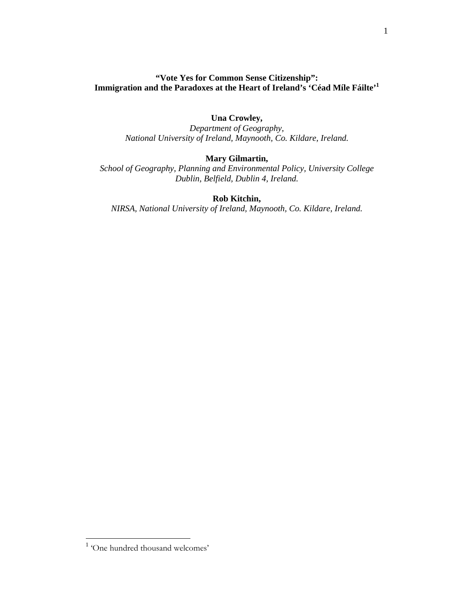## **"Vote Yes for Common Sense Citizenship": Immigration and the Paradoxes at the Heart of Ireland's 'Céad Míle Fáilte'1**

## **Una Crowley,**

*Department of Geography, National University of Ireland, Maynooth, Co. Kildare, Ireland.* 

### **Mary Gilmartin,**

*School of Geography, Planning and Environmental Policy, University College Dublin, Belfield, Dublin 4, Ireland.* 

**Rob Kitchin,** 

*NIRSA, National University of Ireland, Maynooth, Co. Kildare, Ireland.* 

l

<sup>&</sup>lt;sup>1</sup> 'One hundred thousand welcomes'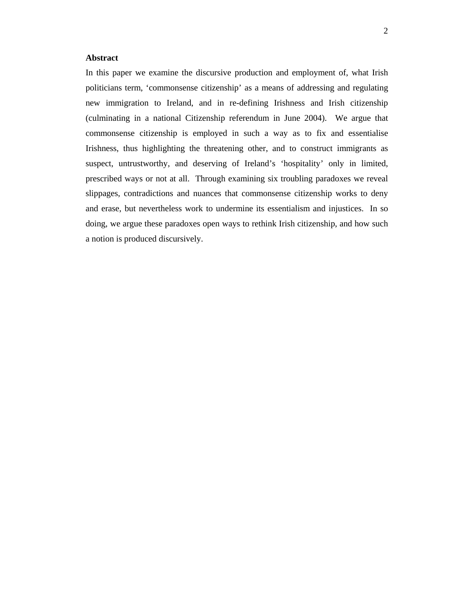#### **Abstract**

In this paper we examine the discursive production and employment of, what Irish politicians term, 'commonsense citizenship' as a means of addressing and regulating new immigration to Ireland, and in re-defining Irishness and Irish citizenship (culminating in a national Citizenship referendum in June 2004). We argue that commonsense citizenship is employed in such a way as to fix and essentialise Irishness, thus highlighting the threatening other, and to construct immigrants as suspect, untrustworthy, and deserving of Ireland's 'hospitality' only in limited, prescribed ways or not at all. Through examining six troubling paradoxes we reveal slippages, contradictions and nuances that commonsense citizenship works to deny and erase, but nevertheless work to undermine its essentialism and injustices. In so doing, we argue these paradoxes open ways to rethink Irish citizenship, and how such a notion is produced discursively.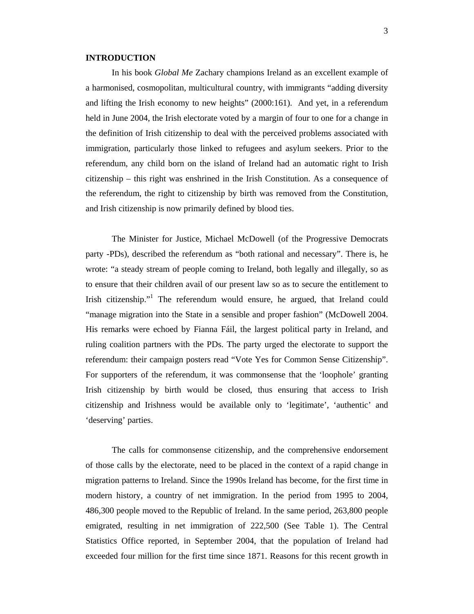#### **INTRODUCTION**

In his book *Global Me* Zachary champions Ireland as an excellent example of a harmonised, cosmopolitan, multicultural country, with immigrants "adding diversity and lifting the Irish economy to new heights" (2000:161). And yet, in a referendum held in June 2004, the Irish electorate voted by a margin of four to one for a change in the definition of Irish citizenship to deal with the perceived problems associated with immigration, particularly those linked to refugees and asylum seekers. Prior to the referendum, any child born on the island of Ireland had an automatic right to Irish citizenship – this right was enshrined in the Irish Constitution. As a consequence of the referendum, the right to citizenship by birth was removed from the Constitution, and Irish citizenship is now primarily defined by blood ties.

 The Minister for Justice, Michael McDowell (of the Progressive Democrats party -PDs), described the referendum as "both rational and necessary". There is, he wrote: "a steady stream of people coming to Ireland, both legally and illegally, so as to ensure that their children avail of our present law so as to secure the entitlement to Irish citizenship."<sup>1</sup> The referendum would ensure, he argued, that Ireland could "manage migration into the State in a sensible and proper fashion" (McDowell 2004. His remarks were echoed by Fianna Fáil, the largest political party in Ireland, and ruling coalition partners with the PDs. The party urged the electorate to support the referendum: their campaign posters read "Vote Yes for Common Sense Citizenship". For supporters of the referendum, it was commonsense that the 'loophole' granting Irish citizenship by birth would be closed, thus ensuring that access to Irish citizenship and Irishness would be available only to 'legitimate', 'authentic' and 'deserving' parties.

The calls for commonsense citizenship, and the comprehensive endorsement of those calls by the electorate, need to be placed in the context of a rapid change in migration patterns to Ireland. Since the 1990s Ireland has become, for the first time in modern history, a country of net immigration. In the period from 1995 to 2004, 486,300 people moved to the Republic of Ireland. In the same period, 263,800 people emigrated, resulting in net immigration of 222,500 (See Table 1). The Central Statistics Office reported, in September 2004, that the population of Ireland had exceeded four million for the first time since 1871. Reasons for this recent growth in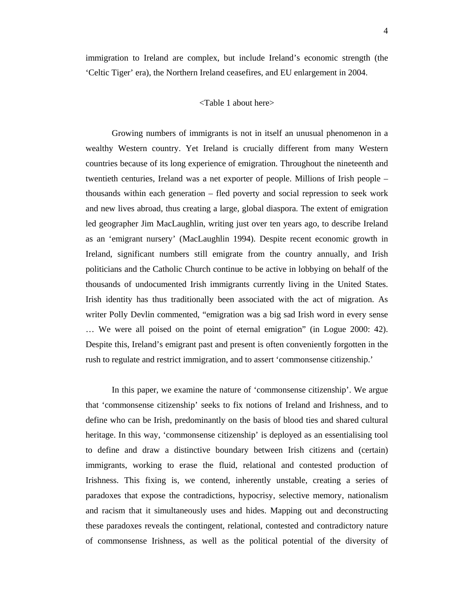immigration to Ireland are complex, but include Ireland's economic strength (the 'Celtic Tiger' era), the Northern Ireland ceasefires, and EU enlargement in 2004.

#### <Table 1 about here>

Growing numbers of immigrants is not in itself an unusual phenomenon in a wealthy Western country. Yet Ireland is crucially different from many Western countries because of its long experience of emigration. Throughout the nineteenth and twentieth centuries, Ireland was a net exporter of people. Millions of Irish people – thousands within each generation – fled poverty and social repression to seek work and new lives abroad, thus creating a large, global diaspora. The extent of emigration led geographer Jim MacLaughlin, writing just over ten years ago, to describe Ireland as an 'emigrant nursery' (MacLaughlin 1994). Despite recent economic growth in Ireland, significant numbers still emigrate from the country annually, and Irish politicians and the Catholic Church continue to be active in lobbying on behalf of the thousands of undocumented Irish immigrants currently living in the United States. Irish identity has thus traditionally been associated with the act of migration. As writer Polly Devlin commented, "emigration was a big sad Irish word in every sense … We were all poised on the point of eternal emigration" (in Logue 2000: 42). Despite this, Ireland's emigrant past and present is often conveniently forgotten in the rush to regulate and restrict immigration, and to assert 'commonsense citizenship.'

In this paper, we examine the nature of 'commonsense citizenship'. We argue that 'commonsense citizenship' seeks to fix notions of Ireland and Irishness, and to define who can be Irish, predominantly on the basis of blood ties and shared cultural heritage. In this way, 'commonsense citizenship' is deployed as an essentialising tool to define and draw a distinctive boundary between Irish citizens and (certain) immigrants, working to erase the fluid, relational and contested production of Irishness. This fixing is, we contend, inherently unstable, creating a series of paradoxes that expose the contradictions, hypocrisy, selective memory, nationalism and racism that it simultaneously uses and hides. Mapping out and deconstructing these paradoxes reveals the contingent, relational, contested and contradictory nature of commonsense Irishness, as well as the political potential of the diversity of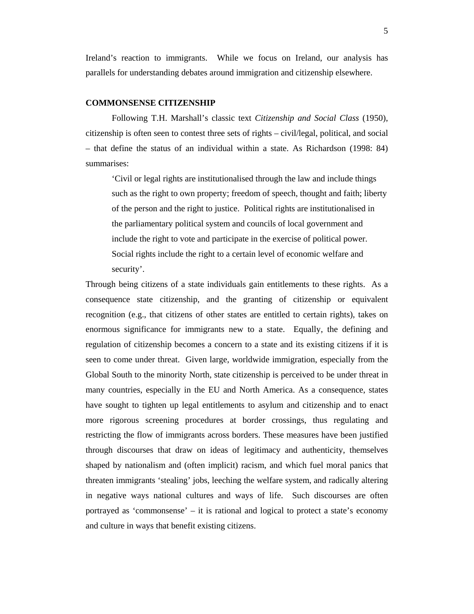Ireland's reaction to immigrants. While we focus on Ireland, our analysis has parallels for understanding debates around immigration and citizenship elsewhere.

### **COMMONSENSE CITIZENSHIP**

Following T.H. Marshall's classic text *Citizenship and Social Class* (1950), citizenship is often seen to contest three sets of rights – civil/legal, political, and social – that define the status of an individual within a state. As Richardson (1998: 84) summarises:

'Civil or legal rights are institutionalised through the law and include things such as the right to own property; freedom of speech, thought and faith; liberty of the person and the right to justice. Political rights are institutionalised in the parliamentary political system and councils of local government and include the right to vote and participate in the exercise of political power. Social rights include the right to a certain level of economic welfare and security'.

Through being citizens of a state individuals gain entitlements to these rights. As a consequence state citizenship, and the granting of citizenship or equivalent recognition (e.g., that citizens of other states are entitled to certain rights), takes on enormous significance for immigrants new to a state. Equally, the defining and regulation of citizenship becomes a concern to a state and its existing citizens if it is seen to come under threat. Given large, worldwide immigration, especially from the Global South to the minority North, state citizenship is perceived to be under threat in many countries, especially in the EU and North America. As a consequence, states have sought to tighten up legal entitlements to asylum and citizenship and to enact more rigorous screening procedures at border crossings, thus regulating and restricting the flow of immigrants across borders. These measures have been justified through discourses that draw on ideas of legitimacy and authenticity, themselves shaped by nationalism and (often implicit) racism, and which fuel moral panics that threaten immigrants 'stealing' jobs, leeching the welfare system, and radically altering in negative ways national cultures and ways of life. Such discourses are often portrayed as 'commonsense' – it is rational and logical to protect a state's economy and culture in ways that benefit existing citizens.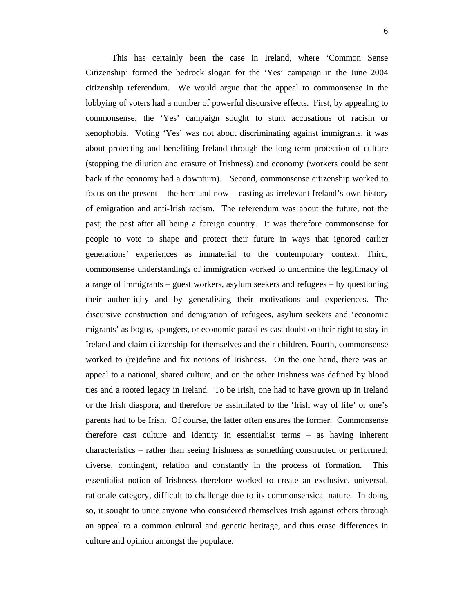This has certainly been the case in Ireland, where 'Common Sense Citizenship' formed the bedrock slogan for the 'Yes' campaign in the June 2004 citizenship referendum. We would argue that the appeal to commonsense in the lobbying of voters had a number of powerful discursive effects. First, by appealing to commonsense, the 'Yes' campaign sought to stunt accusations of racism or xenophobia. Voting 'Yes' was not about discriminating against immigrants, it was about protecting and benefiting Ireland through the long term protection of culture (stopping the dilution and erasure of Irishness) and economy (workers could be sent back if the economy had a downturn). Second, commonsense citizenship worked to focus on the present – the here and now – casting as irrelevant Ireland's own history of emigration and anti-Irish racism. The referendum was about the future, not the past; the past after all being a foreign country. It was therefore commonsense for people to vote to shape and protect their future in ways that ignored earlier generations' experiences as immaterial to the contemporary context. Third, commonsense understandings of immigration worked to undermine the legitimacy of a range of immigrants – guest workers, asylum seekers and refugees – by questioning their authenticity and by generalising their motivations and experiences. The discursive construction and denigration of refugees, asylum seekers and 'economic migrants' as bogus, spongers, or economic parasites cast doubt on their right to stay in Ireland and claim citizenship for themselves and their children. Fourth, commonsense worked to (re)define and fix notions of Irishness. On the one hand, there was an appeal to a national, shared culture, and on the other Irishness was defined by blood ties and a rooted legacy in Ireland. To be Irish, one had to have grown up in Ireland or the Irish diaspora, and therefore be assimilated to the 'Irish way of life' or one's parents had to be Irish. Of course, the latter often ensures the former. Commonsense therefore cast culture and identity in essentialist terms – as having inherent characteristics – rather than seeing Irishness as something constructed or performed; diverse, contingent, relation and constantly in the process of formation. This essentialist notion of Irishness therefore worked to create an exclusive, universal, rationale category, difficult to challenge due to its commonsensical nature. In doing so, it sought to unite anyone who considered themselves Irish against others through an appeal to a common cultural and genetic heritage, and thus erase differences in culture and opinion amongst the populace.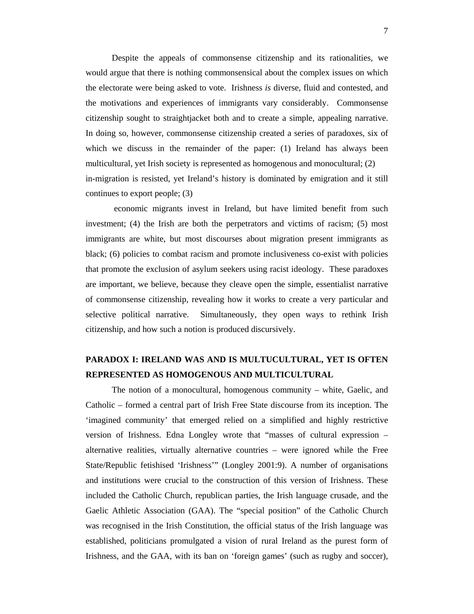Despite the appeals of commonsense citizenship and its rationalities, we would argue that there is nothing commonsensical about the complex issues on which the electorate were being asked to vote. Irishness *is* diverse, fluid and contested, and the motivations and experiences of immigrants vary considerably. Commonsense citizenship sought to straightjacket both and to create a simple, appealing narrative. In doing so, however, commonsense citizenship created a series of paradoxes, six of which we discuss in the remainder of the paper: (1) Ireland has always been multicultural, yet Irish society is represented as homogenous and monocultural; (2) in-migration is resisted, yet Ireland's history is dominated by emigration and it still continues to export people; (3)

 economic migrants invest in Ireland, but have limited benefit from such investment; (4) the Irish are both the perpetrators and victims of racism; (5) most immigrants are white, but most discourses about migration present immigrants as black; (6) policies to combat racism and promote inclusiveness co-exist with policies that promote the exclusion of asylum seekers using racist ideology. These paradoxes are important, we believe, because they cleave open the simple, essentialist narrative of commonsense citizenship, revealing how it works to create a very particular and selective political narrative. Simultaneously, they open ways to rethink Irish citizenship, and how such a notion is produced discursively.

## **PARADOX I: IRELAND WAS AND IS MULTUCULTURAL, YET IS OFTEN REPRESENTED AS HOMOGENOUS AND MULTICULTURAL**

The notion of a monocultural, homogenous community – white, Gaelic, and Catholic – formed a central part of Irish Free State discourse from its inception. The 'imagined community' that emerged relied on a simplified and highly restrictive version of Irishness. Edna Longley wrote that "masses of cultural expression – alternative realities, virtually alternative countries – were ignored while the Free State/Republic fetishised 'Irishness'" (Longley 2001:9). A number of organisations and institutions were crucial to the construction of this version of Irishness. These included the Catholic Church, republican parties, the Irish language crusade, and the Gaelic Athletic Association (GAA). The "special position" of the Catholic Church was recognised in the Irish Constitution, the official status of the Irish language was established, politicians promulgated a vision of rural Ireland as the purest form of Irishness, and the GAA, with its ban on 'foreign games' (such as rugby and soccer),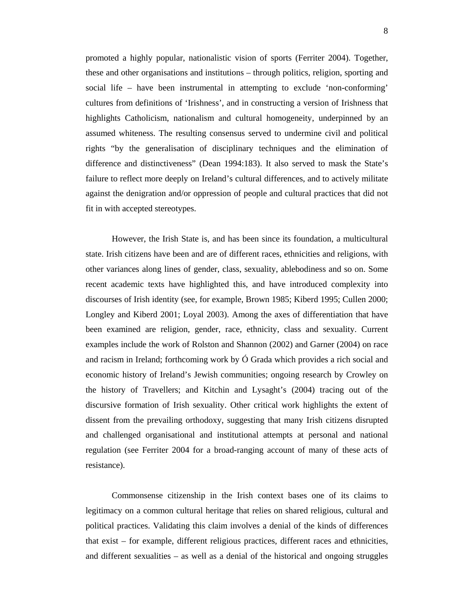promoted a highly popular, nationalistic vision of sports (Ferriter 2004). Together, these and other organisations and institutions – through politics, religion, sporting and social life – have been instrumental in attempting to exclude 'non-conforming' cultures from definitions of 'Irishness', and in constructing a version of Irishness that highlights Catholicism, nationalism and cultural homogeneity, underpinned by an assumed whiteness. The resulting consensus served to undermine civil and political rights "by the generalisation of disciplinary techniques and the elimination of difference and distinctiveness" (Dean 1994:183). It also served to mask the State's failure to reflect more deeply on Ireland's cultural differences, and to actively militate against the denigration and/or oppression of people and cultural practices that did not fit in with accepted stereotypes.

However, the Irish State is, and has been since its foundation, a multicultural state. Irish citizens have been and are of different races, ethnicities and religions, with other variances along lines of gender, class, sexuality, ablebodiness and so on. Some recent academic texts have highlighted this, and have introduced complexity into discourses of Irish identity (see, for example, Brown 1985; Kiberd 1995; Cullen 2000; Longley and Kiberd 2001; Loyal 2003). Among the axes of differentiation that have been examined are religion, gender, race, ethnicity, class and sexuality. Current examples include the work of Rolston and Shannon (2002) and Garner (2004) on race and racism in Ireland; forthcoming work by Ó Grada which provides a rich social and economic history of Ireland's Jewish communities; ongoing research by Crowley on the history of Travellers; and Kitchin and Lysaght's (2004) tracing out of the discursive formation of Irish sexuality. Other critical work highlights the extent of dissent from the prevailing orthodoxy, suggesting that many Irish citizens disrupted and challenged organisational and institutional attempts at personal and national regulation (see Ferriter 2004 for a broad-ranging account of many of these acts of resistance).

Commonsense citizenship in the Irish context bases one of its claims to legitimacy on a common cultural heritage that relies on shared religious, cultural and political practices. Validating this claim involves a denial of the kinds of differences that exist – for example, different religious practices, different races and ethnicities, and different sexualities – as well as a denial of the historical and ongoing struggles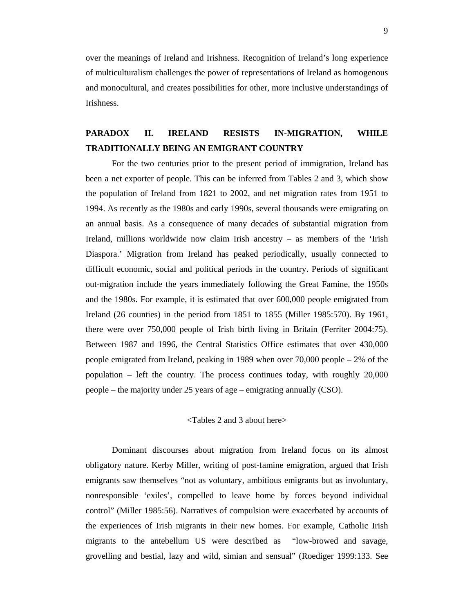over the meanings of Ireland and Irishness. Recognition of Ireland's long experience of multiculturalism challenges the power of representations of Ireland as homogenous and monocultural, and creates possibilities for other, more inclusive understandings of Irishness.

# **PARADOX II. IRELAND RESISTS IN-MIGRATION, WHILE TRADITIONALLY BEING AN EMIGRANT COUNTRY**

For the two centuries prior to the present period of immigration, Ireland has been a net exporter of people. This can be inferred from Tables 2 and 3, which show the population of Ireland from 1821 to 2002, and net migration rates from 1951 to 1994. As recently as the 1980s and early 1990s, several thousands were emigrating on an annual basis. As a consequence of many decades of substantial migration from Ireland, millions worldwide now claim Irish ancestry – as members of the 'Irish Diaspora.' Migration from Ireland has peaked periodically, usually connected to difficult economic, social and political periods in the country. Periods of significant out-migration include the years immediately following the Great Famine, the 1950s and the 1980s. For example, it is estimated that over 600,000 people emigrated from Ireland (26 counties) in the period from 1851 to 1855 (Miller 1985:570). By 1961, there were over 750,000 people of Irish birth living in Britain (Ferriter 2004:75). Between 1987 and 1996, the Central Statistics Office estimates that over 430,000 people emigrated from Ireland, peaking in 1989 when over 70,000 people – 2% of the population – left the country. The process continues today, with roughly 20,000 people – the majority under 25 years of age – emigrating annually (CSO).

#### <Tables 2 and 3 about here>

 Dominant discourses about migration from Ireland focus on its almost obligatory nature. Kerby Miller, writing of post-famine emigration, argued that Irish emigrants saw themselves "not as voluntary, ambitious emigrants but as involuntary, nonresponsible 'exiles', compelled to leave home by forces beyond individual control" (Miller 1985:56). Narratives of compulsion were exacerbated by accounts of the experiences of Irish migrants in their new homes. For example, Catholic Irish migrants to the antebellum US were described as "low-browed and savage, grovelling and bestial, lazy and wild, simian and sensual" (Roediger 1999:133. See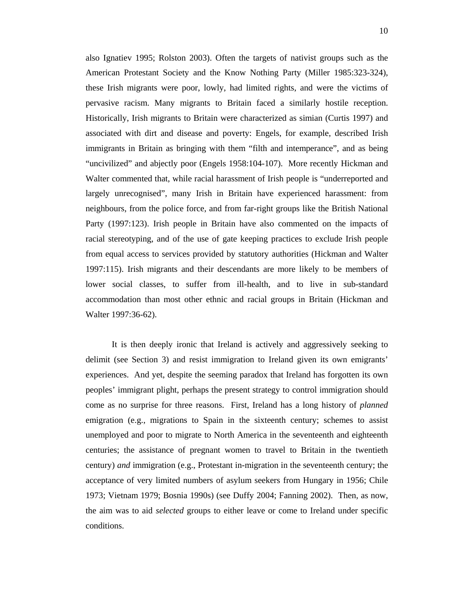also Ignatiev 1995; Rolston 2003). Often the targets of nativist groups such as the American Protestant Society and the Know Nothing Party (Miller 1985:323-324), these Irish migrants were poor, lowly, had limited rights, and were the victims of pervasive racism. Many migrants to Britain faced a similarly hostile reception. Historically, Irish migrants to Britain were characterized as simian (Curtis 1997) and associated with dirt and disease and poverty: Engels, for example, described Irish immigrants in Britain as bringing with them "filth and intemperance", and as being "uncivilized" and abjectly poor (Engels 1958:104-107). More recently Hickman and Walter commented that, while racial harassment of Irish people is "underreported and largely unrecognised", many Irish in Britain have experienced harassment: from neighbours, from the police force, and from far-right groups like the British National Party (1997:123). Irish people in Britain have also commented on the impacts of racial stereotyping, and of the use of gate keeping practices to exclude Irish people from equal access to services provided by statutory authorities (Hickman and Walter 1997:115). Irish migrants and their descendants are more likely to be members of lower social classes, to suffer from ill-health, and to live in sub-standard accommodation than most other ethnic and racial groups in Britain (Hickman and Walter 1997:36-62).

It is then deeply ironic that Ireland is actively and aggressively seeking to delimit (see Section 3) and resist immigration to Ireland given its own emigrants' experiences. And yet, despite the seeming paradox that Ireland has forgotten its own peoples' immigrant plight, perhaps the present strategy to control immigration should come as no surprise for three reasons. First, Ireland has a long history of *planned* emigration (e.g., migrations to Spain in the sixteenth century; schemes to assist unemployed and poor to migrate to North America in the seventeenth and eighteenth centuries; the assistance of pregnant women to travel to Britain in the twentieth century) *and* immigration (e.g., Protestant in-migration in the seventeenth century; the acceptance of very limited numbers of asylum seekers from Hungary in 1956; Chile 1973; Vietnam 1979; Bosnia 1990s) (see Duffy 2004; Fanning 2002). Then, as now, the aim was to aid *selected* groups to either leave or come to Ireland under specific conditions.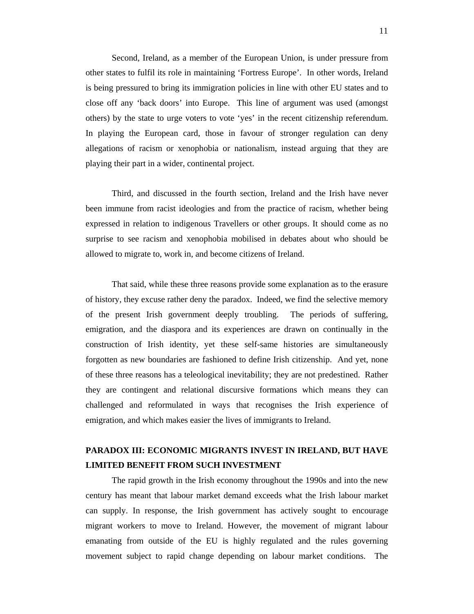Second, Ireland, as a member of the European Union, is under pressure from other states to fulfil its role in maintaining 'Fortress Europe'. In other words, Ireland is being pressured to bring its immigration policies in line with other EU states and to close off any 'back doors' into Europe. This line of argument was used (amongst others) by the state to urge voters to vote 'yes' in the recent citizenship referendum. In playing the European card, those in favour of stronger regulation can deny allegations of racism or xenophobia or nationalism, instead arguing that they are playing their part in a wider, continental project.

Third, and discussed in the fourth section, Ireland and the Irish have never been immune from racist ideologies and from the practice of racism, whether being expressed in relation to indigenous Travellers or other groups. It should come as no surprise to see racism and xenophobia mobilised in debates about who should be allowed to migrate to, work in, and become citizens of Ireland.

That said, while these three reasons provide some explanation as to the erasure of history, they excuse rather deny the paradox. Indeed, we find the selective memory of the present Irish government deeply troubling. The periods of suffering, emigration, and the diaspora and its experiences are drawn on continually in the construction of Irish identity, yet these self-same histories are simultaneously forgotten as new boundaries are fashioned to define Irish citizenship. And yet, none of these three reasons has a teleological inevitability; they are not predestined. Rather they are contingent and relational discursive formations which means they can challenged and reformulated in ways that recognises the Irish experience of emigration, and which makes easier the lives of immigrants to Ireland.

# **PARADOX III: ECONOMIC MIGRANTS INVEST IN IRELAND, BUT HAVE LIMITED BENEFIT FROM SUCH INVESTMENT**

The rapid growth in the Irish economy throughout the 1990s and into the new century has meant that labour market demand exceeds what the Irish labour market can supply. In response, the Irish government has actively sought to encourage migrant workers to move to Ireland. However, the movement of migrant labour emanating from outside of the EU is highly regulated and the rules governing movement subject to rapid change depending on labour market conditions. The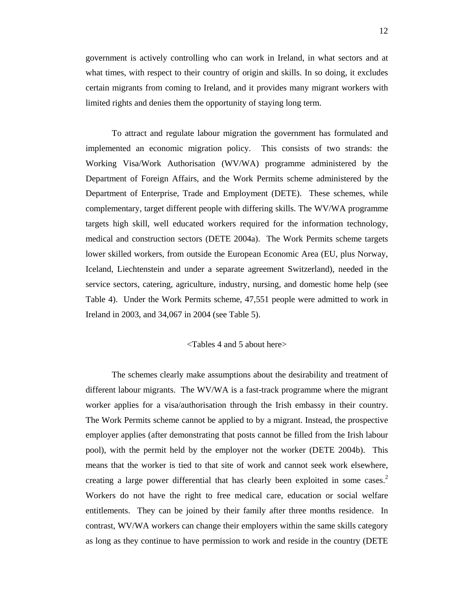government is actively controlling who can work in Ireland, in what sectors and at what times, with respect to their country of origin and skills. In so doing, it excludes certain migrants from coming to Ireland, and it provides many migrant workers with limited rights and denies them the opportunity of staying long term.

To attract and regulate labour migration the government has formulated and implemented an economic migration policy. This consists of two strands: the Working Visa/Work Authorisation (WV/WA) programme administered by the Department of Foreign Affairs, and the Work Permits scheme administered by the Department of Enterprise, Trade and Employment (DETE). These schemes, while complementary, target different people with differing skills. The WV/WA programme targets high skill, well educated workers required for the information technology, medical and construction sectors (DETE 2004a). The Work Permits scheme targets lower skilled workers, from outside the European Economic Area (EU, plus Norway, Iceland, Liechtenstein and under a separate agreement Switzerland), needed in the service sectors, catering, agriculture, industry, nursing, and domestic home help (see Table 4). Under the Work Permits scheme, 47,551 people were admitted to work in Ireland in 2003, and 34,067 in 2004 (see Table 5).

#### <Tables 4 and 5 about here>

The schemes clearly make assumptions about the desirability and treatment of different labour migrants. The WV/WA is a fast-track programme where the migrant worker applies for a visa/authorisation through the Irish embassy in their country. The Work Permits scheme cannot be applied to by a migrant. Instead, the prospective employer applies (after demonstrating that posts cannot be filled from the Irish labour pool), with the permit held by the employer not the worker (DETE 2004b). This means that the worker is tied to that site of work and cannot seek work elsewhere, creating a large power differential that has clearly been exploited in some cases.<sup>2</sup> Workers do not have the right to free medical care, education or social welfare entitlements. They can be joined by their family after three months residence. In contrast, WV/WA workers can change their employers within the same skills category as long as they continue to have permission to work and reside in the country (DETE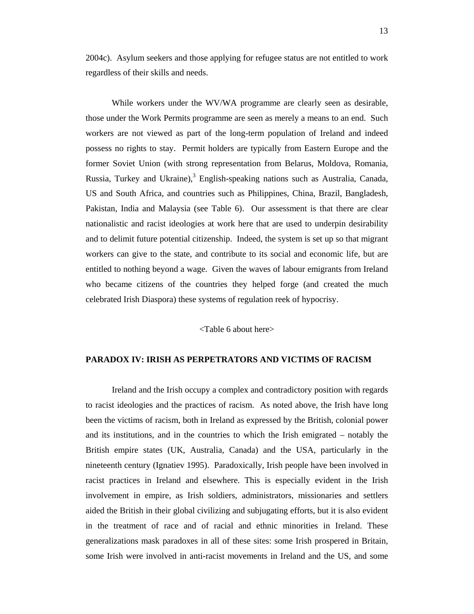2004c). Asylum seekers and those applying for refugee status are not entitled to work regardless of their skills and needs.

While workers under the WV/WA programme are clearly seen as desirable, those under the Work Permits programme are seen as merely a means to an end. Such workers are not viewed as part of the long-term population of Ireland and indeed possess no rights to stay. Permit holders are typically from Eastern Europe and the former Soviet Union (with strong representation from Belarus, Moldova, Romania, Russia, Turkey and Ukraine), $3$  English-speaking nations such as Australia, Canada, US and South Africa, and countries such as Philippines, China, Brazil, Bangladesh, Pakistan, India and Malaysia (see Table 6). Our assessment is that there are clear nationalistic and racist ideologies at work here that are used to underpin desirability and to delimit future potential citizenship. Indeed, the system is set up so that migrant workers can give to the state, and contribute to its social and economic life, but are entitled to nothing beyond a wage. Given the waves of labour emigrants from Ireland who became citizens of the countries they helped forge (and created the much celebrated Irish Diaspora) these systems of regulation reek of hypocrisy.

<Table 6 about here>

### **PARADOX IV: IRISH AS PERPETRATORS AND VICTIMS OF RACISM**

Ireland and the Irish occupy a complex and contradictory position with regards to racist ideologies and the practices of racism. As noted above, the Irish have long been the victims of racism, both in Ireland as expressed by the British, colonial power and its institutions, and in the countries to which the Irish emigrated – notably the British empire states (UK, Australia, Canada) and the USA, particularly in the nineteenth century (Ignatiev 1995). Paradoxically, Irish people have been involved in racist practices in Ireland and elsewhere. This is especially evident in the Irish involvement in empire, as Irish soldiers, administrators, missionaries and settlers aided the British in their global civilizing and subjugating efforts, but it is also evident in the treatment of race and of racial and ethnic minorities in Ireland. These generalizations mask paradoxes in all of these sites: some Irish prospered in Britain, some Irish were involved in anti-racist movements in Ireland and the US, and some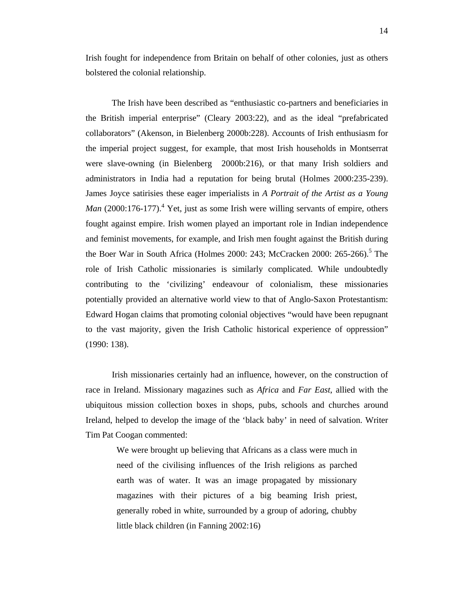Irish fought for independence from Britain on behalf of other colonies, just as others bolstered the colonial relationship.

The Irish have been described as "enthusiastic co-partners and beneficiaries in the British imperial enterprise" (Cleary 2003:22), and as the ideal "prefabricated collaborators" (Akenson, in Bielenberg 2000b:228). Accounts of Irish enthusiasm for the imperial project suggest, for example, that most Irish households in Montserrat were slave-owning (in Bielenberg 2000b:216), or that many Irish soldiers and administrators in India had a reputation for being brutal (Holmes 2000:235-239). James Joyce satirisies these eager imperialists in *A Portrait of the Artist as a Young Man* (2000:176-177).<sup>4</sup> Yet, just as some Irish were willing servants of empire, others fought against empire. Irish women played an important role in Indian independence and feminist movements, for example, and Irish men fought against the British during the Boer War in South Africa (Holmes 2000: 243; McCracken 2000: 265-266).<sup>5</sup> The role of Irish Catholic missionaries is similarly complicated. While undoubtedly contributing to the 'civilizing' endeavour of colonialism, these missionaries potentially provided an alternative world view to that of Anglo-Saxon Protestantism: Edward Hogan claims that promoting colonial objectives "would have been repugnant to the vast majority, given the Irish Catholic historical experience of oppression" (1990: 138).

Irish missionaries certainly had an influence, however, on the construction of race in Ireland. Missionary magazines such as *Africa* and *Far East*, allied with the ubiquitous mission collection boxes in shops, pubs, schools and churches around Ireland, helped to develop the image of the 'black baby' in need of salvation. Writer Tim Pat Coogan commented:

We were brought up believing that Africans as a class were much in need of the civilising influences of the Irish religions as parched earth was of water. It was an image propagated by missionary magazines with their pictures of a big beaming Irish priest, generally robed in white, surrounded by a group of adoring, chubby little black children (in Fanning 2002:16)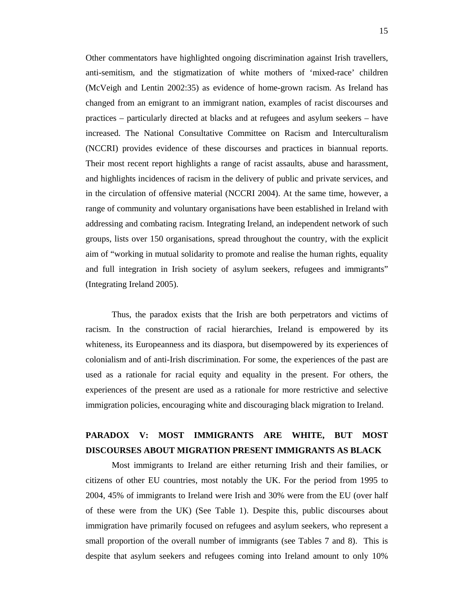Other commentators have highlighted ongoing discrimination against Irish travellers, anti-semitism, and the stigmatization of white mothers of 'mixed-race' children (McVeigh and Lentin 2002:35) as evidence of home-grown racism. As Ireland has changed from an emigrant to an immigrant nation, examples of racist discourses and practices – particularly directed at blacks and at refugees and asylum seekers – have increased. The National Consultative Committee on Racism and Interculturalism (NCCRI) provides evidence of these discourses and practices in biannual reports. Their most recent report highlights a range of racist assaults, abuse and harassment, and highlights incidences of racism in the delivery of public and private services, and in the circulation of offensive material (NCCRI 2004). At the same time, however, a range of community and voluntary organisations have been established in Ireland with addressing and combating racism. Integrating Ireland, an independent network of such groups, lists over 150 organisations, spread throughout the country, with the explicit aim of "working in mutual solidarity to promote and realise the human rights, equality and full integration in Irish society of asylum seekers, refugees and immigrants" (Integrating Ireland 2005).

Thus, the paradox exists that the Irish are both perpetrators and victims of racism. In the construction of racial hierarchies, Ireland is empowered by its whiteness, its Europeanness and its diaspora, but disempowered by its experiences of colonialism and of anti-Irish discrimination. For some, the experiences of the past are used as a rationale for racial equity and equality in the present. For others, the experiences of the present are used as a rationale for more restrictive and selective immigration policies, encouraging white and discouraging black migration to Ireland.

# **PARADOX V: MOST IMMIGRANTS ARE WHITE, BUT MOST DISCOURSES ABOUT MIGRATION PRESENT IMMIGRANTS AS BLACK**

Most immigrants to Ireland are either returning Irish and their families, or citizens of other EU countries, most notably the UK. For the period from 1995 to 2004, 45% of immigrants to Ireland were Irish and 30% were from the EU (over half of these were from the UK) (See Table 1). Despite this, public discourses about immigration have primarily focused on refugees and asylum seekers, who represent a small proportion of the overall number of immigrants (see Tables 7 and 8). This is despite that asylum seekers and refugees coming into Ireland amount to only 10%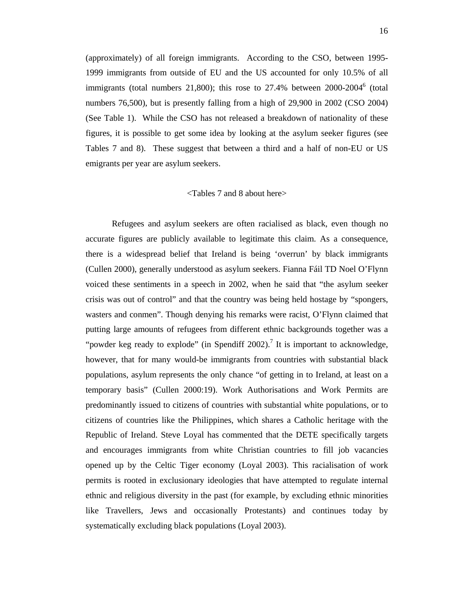(approximately) of all foreign immigrants. According to the CSO, between 1995- 1999 immigrants from outside of EU and the US accounted for only 10.5% of all immigrants (total numbers 21,800); this rose to 27.4% between  $2000-2004^6$  (total numbers 76,500), but is presently falling from a high of 29,900 in 2002 (CSO 2004) (See Table 1). While the CSO has not released a breakdown of nationality of these figures, it is possible to get some idea by looking at the asylum seeker figures (see Tables 7 and 8). These suggest that between a third and a half of non-EU or US emigrants per year are asylum seekers.

#### <Tables 7 and 8 about here>

Refugees and asylum seekers are often racialised as black, even though no accurate figures are publicly available to legitimate this claim. As a consequence, there is a widespread belief that Ireland is being 'overrun' by black immigrants (Cullen 2000), generally understood as asylum seekers. Fianna Fáil TD Noel O'Flynn voiced these sentiments in a speech in 2002, when he said that "the asylum seeker crisis was out of control" and that the country was being held hostage by "spongers, wasters and conmen". Though denying his remarks were racist, O'Flynn claimed that putting large amounts of refugees from different ethnic backgrounds together was a "powder keg ready to explode" (in Spendiff 2002).<sup>7</sup> It is important to acknowledge, however, that for many would-be immigrants from countries with substantial black populations, asylum represents the only chance "of getting in to Ireland, at least on a temporary basis" (Cullen 2000:19). Work Authorisations and Work Permits are predominantly issued to citizens of countries with substantial white populations, or to citizens of countries like the Philippines, which shares a Catholic heritage with the Republic of Ireland. Steve Loyal has commented that the DETE specifically targets and encourages immigrants from white Christian countries to fill job vacancies opened up by the Celtic Tiger economy (Loyal 2003). This racialisation of work permits is rooted in exclusionary ideologies that have attempted to regulate internal ethnic and religious diversity in the past (for example, by excluding ethnic minorities like Travellers, Jews and occasionally Protestants) and continues today by systematically excluding black populations (Loyal 2003).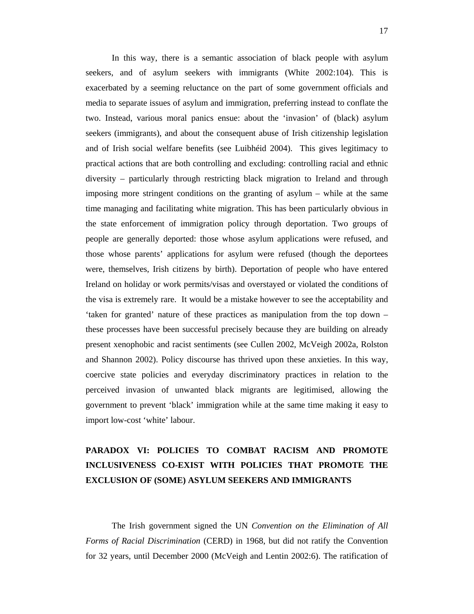In this way, there is a semantic association of black people with asylum seekers, and of asylum seekers with immigrants (White 2002:104). This is exacerbated by a seeming reluctance on the part of some government officials and media to separate issues of asylum and immigration, preferring instead to conflate the two. Instead, various moral panics ensue: about the 'invasion' of (black) asylum seekers (immigrants), and about the consequent abuse of Irish citizenship legislation and of Irish social welfare benefits (see Luibhéid 2004). This gives legitimacy to practical actions that are both controlling and excluding: controlling racial and ethnic diversity – particularly through restricting black migration to Ireland and through imposing more stringent conditions on the granting of asylum – while at the same time managing and facilitating white migration. This has been particularly obvious in the state enforcement of immigration policy through deportation. Two groups of people are generally deported: those whose asylum applications were refused, and those whose parents' applications for asylum were refused (though the deportees were, themselves, Irish citizens by birth). Deportation of people who have entered Ireland on holiday or work permits/visas and overstayed or violated the conditions of the visa is extremely rare. It would be a mistake however to see the acceptability and 'taken for granted' nature of these practices as manipulation from the top down – these processes have been successful precisely because they are building on already present xenophobic and racist sentiments (see Cullen 2002, McVeigh 2002a, Rolston and Shannon 2002). Policy discourse has thrived upon these anxieties. In this way, coercive state policies and everyday discriminatory practices in relation to the perceived invasion of unwanted black migrants are legitimised, allowing the government to prevent 'black' immigration while at the same time making it easy to import low-cost 'white' labour.

# **PARADOX VI: POLICIES TO COMBAT RACISM AND PROMOTE INCLUSIVENESS CO-EXIST WITH POLICIES THAT PROMOTE THE EXCLUSION OF (SOME) ASYLUM SEEKERS AND IMMIGRANTS**

The Irish government signed the UN *Convention on the Elimination of All Forms of Racial Discrimination* (CERD) in 1968, but did not ratify the Convention for 32 years, until December 2000 (McVeigh and Lentin 2002:6). The ratification of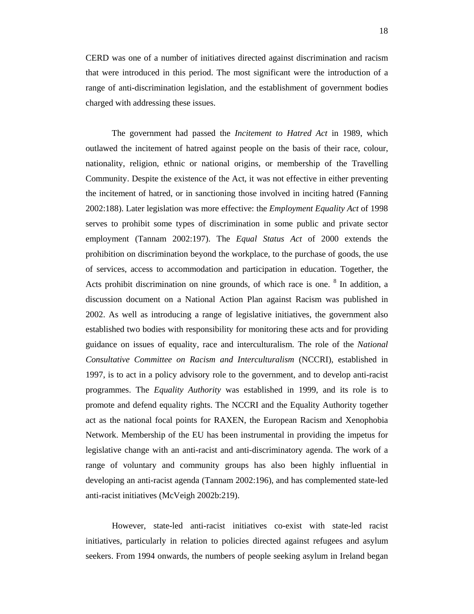CERD was one of a number of initiatives directed against discrimination and racism that were introduced in this period. The most significant were the introduction of a range of anti-discrimination legislation, and the establishment of government bodies charged with addressing these issues.

The government had passed the *Incitement to Hatred Act* in 1989, which outlawed the incitement of hatred against people on the basis of their race, colour, nationality, religion, ethnic or national origins, or membership of the Travelling Community. Despite the existence of the Act, it was not effective in either preventing the incitement of hatred, or in sanctioning those involved in inciting hatred (Fanning 2002:188). Later legislation was more effective: the *Employment Equality Act* of 1998 serves to prohibit some types of discrimination in some public and private sector employment (Tannam 2002:197). The *Equal Status Act* of 2000 extends the prohibition on discrimination beyond the workplace, to the purchase of goods, the use of services, access to accommodation and participation in education. Together, the Acts prohibit discrimination on nine grounds, of which race is one. <sup>8</sup> In addition, a discussion document on a National Action Plan against Racism was published in 2002. As well as introducing a range of legislative initiatives, the government also established two bodies with responsibility for monitoring these acts and for providing guidance on issues of equality, race and interculturalism. The role of the *National Consultative Committee on Racism and Interculturalism* (NCCRI), established in 1997, is to act in a policy advisory role to the government, and to develop anti-racist programmes. The *Equality Authority* was established in 1999, and its role is to promote and defend equality rights. The NCCRI and the Equality Authority together act as the national focal points for RAXEN, the European Racism and Xenophobia Network. Membership of the EU has been instrumental in providing the impetus for legislative change with an anti-racist and anti-discriminatory agenda. The work of a range of voluntary and community groups has also been highly influential in developing an anti-racist agenda (Tannam 2002:196), and has complemented state-led anti-racist initiatives (McVeigh 2002b:219).

However, state-led anti-racist initiatives co-exist with state-led racist initiatives, particularly in relation to policies directed against refugees and asylum seekers. From 1994 onwards, the numbers of people seeking asylum in Ireland began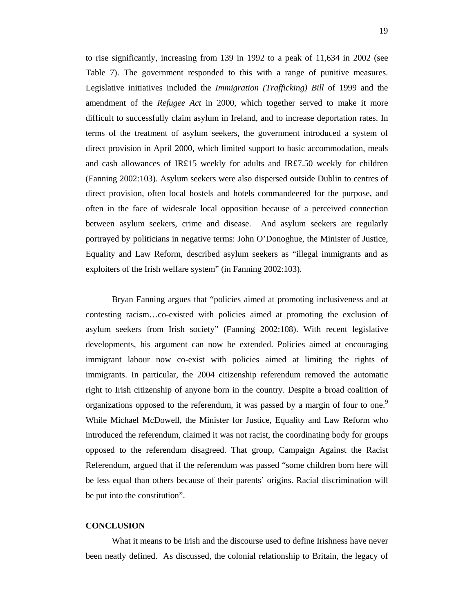to rise significantly, increasing from 139 in 1992 to a peak of 11,634 in 2002 (see Table 7). The government responded to this with a range of punitive measures. Legislative initiatives included the *Immigration (Trafficking) Bill* of 1999 and the amendment of the *Refugee Act* in 2000, which together served to make it more difficult to successfully claim asylum in Ireland, and to increase deportation rates. In terms of the treatment of asylum seekers, the government introduced a system of direct provision in April 2000, which limited support to basic accommodation, meals and cash allowances of IR£15 weekly for adults and IR£7.50 weekly for children (Fanning 2002:103). Asylum seekers were also dispersed outside Dublin to centres of direct provision, often local hostels and hotels commandeered for the purpose, and often in the face of widescale local opposition because of a perceived connection between asylum seekers, crime and disease. And asylum seekers are regularly portrayed by politicians in negative terms: John O'Donoghue, the Minister of Justice, Equality and Law Reform, described asylum seekers as "illegal immigrants and as exploiters of the Irish welfare system" (in Fanning 2002:103).

Bryan Fanning argues that "policies aimed at promoting inclusiveness and at contesting racism…co-existed with policies aimed at promoting the exclusion of asylum seekers from Irish society" (Fanning 2002:108). With recent legislative developments, his argument can now be extended. Policies aimed at encouraging immigrant labour now co-exist with policies aimed at limiting the rights of immigrants. In particular, the 2004 citizenship referendum removed the automatic right to Irish citizenship of anyone born in the country. Despite a broad coalition of organizations opposed to the referendum, it was passed by a margin of four to one.<sup>9</sup> While Michael McDowell, the Minister for Justice, Equality and Law Reform who introduced the referendum, claimed it was not racist, the coordinating body for groups opposed to the referendum disagreed. That group, Campaign Against the Racist Referendum, argued that if the referendum was passed "some children born here will be less equal than others because of their parents' origins. Racial discrimination will be put into the constitution".

#### **CONCLUSION**

What it means to be Irish and the discourse used to define Irishness have never been neatly defined. As discussed, the colonial relationship to Britain, the legacy of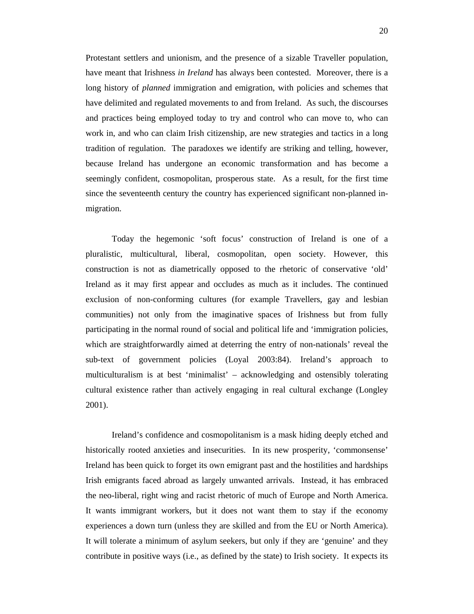Protestant settlers and unionism, and the presence of a sizable Traveller population, have meant that Irishness *in Ireland* has always been contested. Moreover, there is a long history of *planned* immigration and emigration, with policies and schemes that have delimited and regulated movements to and from Ireland. As such, the discourses and practices being employed today to try and control who can move to, who can work in, and who can claim Irish citizenship, are new strategies and tactics in a long tradition of regulation. The paradoxes we identify are striking and telling, however, because Ireland has undergone an economic transformation and has become a seemingly confident, cosmopolitan, prosperous state. As a result, for the first time since the seventeenth century the country has experienced significant non-planned inmigration.

Today the hegemonic 'soft focus' construction of Ireland is one of a pluralistic, multicultural, liberal, cosmopolitan, open society. However, this construction is not as diametrically opposed to the rhetoric of conservative 'old' Ireland as it may first appear and occludes as much as it includes. The continued exclusion of non-conforming cultures (for example Travellers, gay and lesbian communities) not only from the imaginative spaces of Irishness but from fully participating in the normal round of social and political life and 'immigration policies, which are straightforwardly aimed at deterring the entry of non-nationals' reveal the sub-text of government policies (Loyal 2003:84). Ireland's approach to multiculturalism is at best 'minimalist' – acknowledging and ostensibly tolerating cultural existence rather than actively engaging in real cultural exchange (Longley 2001).

Ireland's confidence and cosmopolitanism is a mask hiding deeply etched and historically rooted anxieties and insecurities. In its new prosperity, 'commonsense' Ireland has been quick to forget its own emigrant past and the hostilities and hardships Irish emigrants faced abroad as largely unwanted arrivals. Instead, it has embraced the neo-liberal, right wing and racist rhetoric of much of Europe and North America. It wants immigrant workers, but it does not want them to stay if the economy experiences a down turn (unless they are skilled and from the EU or North America). It will tolerate a minimum of asylum seekers, but only if they are 'genuine' and they contribute in positive ways (i.e., as defined by the state) to Irish society. It expects its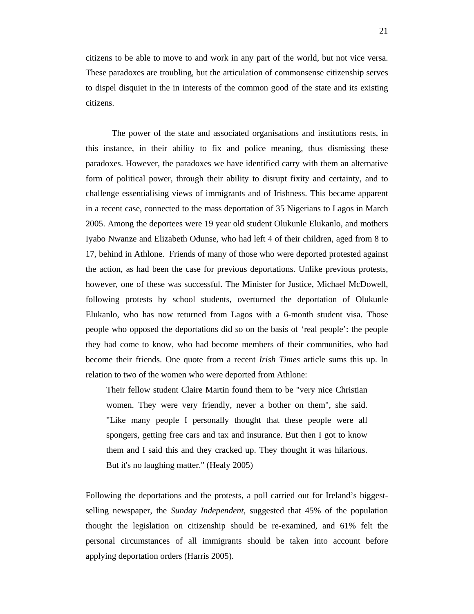citizens to be able to move to and work in any part of the world, but not vice versa. These paradoxes are troubling, but the articulation of commonsense citizenship serves to dispel disquiet in the in interests of the common good of the state and its existing citizens.

The power of the state and associated organisations and institutions rests, in this instance, in their ability to fix and police meaning, thus dismissing these paradoxes. However, the paradoxes we have identified carry with them an alternative form of political power, through their ability to disrupt fixity and certainty, and to challenge essentialising views of immigrants and of Irishness. This became apparent in a recent case, connected to the mass deportation of 35 Nigerians to Lagos in March 2005. Among the deportees were 19 year old student Olukunle Elukanlo, and mothers Iyabo Nwanze and Elizabeth Odunse, who had left 4 of their children, aged from 8 to 17, behind in Athlone. Friends of many of those who were deported protested against the action, as had been the case for previous deportations. Unlike previous protests, however, one of these was successful. The Minister for Justice, Michael McDowell, following protests by school students, overturned the deportation of Olukunle Elukanlo, who has now returned from Lagos with a 6-month student visa. Those people who opposed the deportations did so on the basis of 'real people': the people they had come to know, who had become members of their communities, who had become their friends. One quote from a recent *Irish Times* article sums this up. In relation to two of the women who were deported from Athlone:

Their fellow student Claire Martin found them to be "very nice Christian women. They were very friendly, never a bother on them", she said. "Like many people I personally thought that these people were all spongers, getting free cars and tax and insurance. But then I got to know them and I said this and they cracked up. They thought it was hilarious. But it's no laughing matter." (Healy 2005)

Following the deportations and the protests, a poll carried out for Ireland's biggestselling newspaper, the *Sunday Independent*, suggested that 45% of the population thought the legislation on citizenship should be re-examined, and 61% felt the personal circumstances of all immigrants should be taken into account before applying deportation orders (Harris 2005).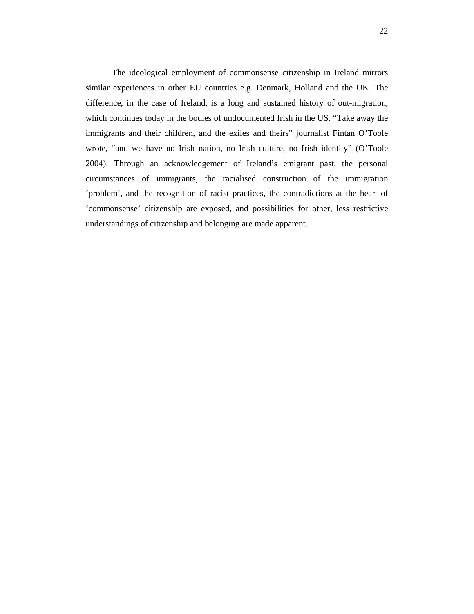The ideological employment of commonsense citizenship in Ireland mirrors similar experiences in other EU countries e.g. Denmark, Holland and the UK. The difference, in the case of Ireland, is a long and sustained history of out-migration, which continues today in the bodies of undocumented Irish in the US. "Take away the immigrants and their children, and the exiles and theirs" journalist Fintan O'Toole wrote, "and we have no Irish nation, no Irish culture, no Irish identity" (O'Toole 2004). Through an acknowledgement of Ireland's emigrant past, the personal circumstances of immigrants, the racialised construction of the immigration 'problem', and the recognition of racist practices, the contradictions at the heart of 'commonsense' citizenship are exposed, and possibilities for other, less restrictive understandings of citizenship and belonging are made apparent.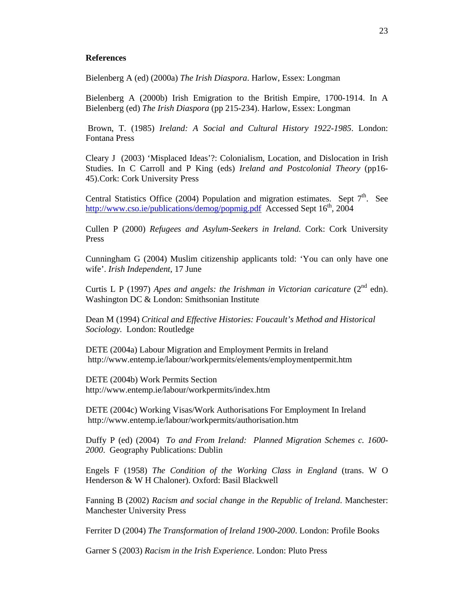#### **References**

Bielenberg A (ed) (2000a) *The Irish Diaspora*. Harlow, Essex: Longman

Bielenberg A (2000b) Irish Emigration to the British Empire, 1700-1914. In A Bielenberg (ed) *The Irish Diaspora* (pp 215-234). Harlow, Essex: Longman

 Brown, T. (1985) *Ireland: A Social and Cultural History 1922-1985*. London: Fontana Press

Cleary J (2003) 'Misplaced Ideas'?: Colonialism, Location, and Dislocation in Irish Studies. In C Carroll and P King (eds) *Ireland and Postcolonial Theory* (pp16- 45).Cork: Cork University Press

Central Statistics Office (2004) Population and migration estimates. Sept  $7<sup>th</sup>$ . See http://www.cso.ie/publications/demog/popmig.pdf Accessed Sept  $16<sup>th</sup>$ , 2004

Cullen P (2000) *Refugees and Asylum-Seekers in Ireland.* Cork: Cork University Press

Cunningham G (2004) Muslim citizenship applicants told: 'You can only have one wife'. *Irish Independent*, 17 June

Curtis L P (1997) *Apes and angels: the Irishman in Victorian caricature* ( $2<sup>nd</sup>$  edn). Washington DC & London: Smithsonian Institute

Dean M (1994) *Critical and Effective Histories: Foucault's Method and Historical Sociology.* London: Routledge

DETE (2004a) Labour Migration and Employment Permits in Ireland http://www.entemp.ie/labour/workpermits/elements/employmentpermit.htm

DETE (2004b) Work Permits Section http://www.entemp.ie/labour/workpermits/index.htm

DETE (2004c) Working Visas/Work Authorisations For Employment In Ireland http://www.entemp.ie/labour/workpermits/authorisation.htm

Duffy P (ed) (2004) *To and From Ireland: Planned Migration Schemes c. 1600- 2000*. Geography Publications: Dublin

Engels F (1958) *The Condition of the Working Class in England* (trans. W O Henderson & W H Chaloner). Oxford: Basil Blackwell

Fanning B (2002) *Racism and social change in the Republic of Ireland*. Manchester: Manchester University Press

Ferriter D (2004) *The Transformation of Ireland 1900-2000*. London: Profile Books

Garner S (2003) *Racism in the Irish Experience*. London: Pluto Press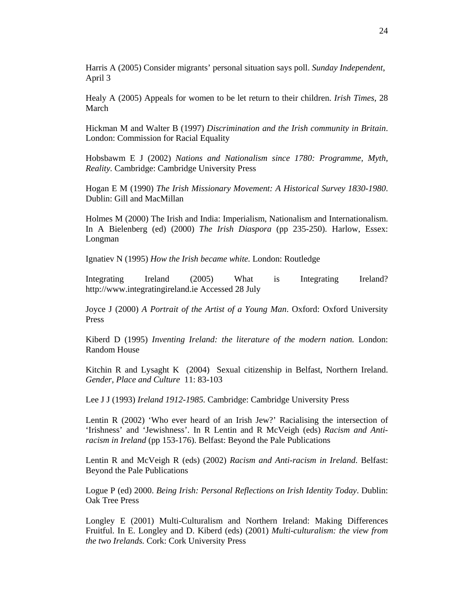Harris A (2005) Consider migrants' personal situation says poll. *Sunday Independent*, April 3

Healy A (2005) Appeals for women to be let return to their children. *Irish Times*, 28 March

Hickman M and Walter B (1997) *Discrimination and the Irish community in Britain*. London: Commission for Racial Equality

Hobsbawm E J (2002) *Nations and Nationalism since 1780: Programme, Myth, Reality.* Cambridge: Cambridge University Press

Hogan E M (1990) *The Irish Missionary Movement: A Historical Survey 1830-1980*. Dublin: Gill and MacMillan

Holmes M (2000) The Irish and India: Imperialism, Nationalism and Internationalism. In A Bielenberg (ed) (2000) *The Irish Diaspora* (pp 235-250). Harlow, Essex: Longman

Ignatiev N (1995) *How the Irish became white.* London: Routledge

Integrating Ireland (2005) What is Integrating Ireland? http://www.integratingireland.ie Accessed 28 July

Joyce J (2000) *A Portrait of the Artist of a Young Man*. Oxford: Oxford University Press

Kiberd D (1995) *Inventing Ireland: the literature of the modern nation.* London: Random House

Kitchin R and Lysaght K (2004) Sexual citizenship in Belfast, Northern Ireland. *Gender, Place and Culture* 11: 83-103

Lee J J (1993) *Ireland 1912-1985.* Cambridge: Cambridge University Press

Lentin R (2002) 'Who ever heard of an Irish Jew?' Racialising the intersection of 'Irishness' and 'Jewishness'. In R Lentin and R McVeigh (eds) *Racism and Antiracism in Ireland* (pp 153-176). Belfast: Beyond the Pale Publications

Lentin R and McVeigh R (eds) (2002) *Racism and Anti-racism in Ireland*. Belfast: Beyond the Pale Publications

Logue P (ed) 2000. *Being Irish: Personal Reflections on Irish Identity Today*. Dublin: Oak Tree Press

Longley E (2001) Multi-Culturalism and Northern Ireland: Making Differences Fruitful. In E. Longley and D. Kiberd (eds) (2001) *Multi-culturalism: the view from the two Irelands.* Cork: Cork University Press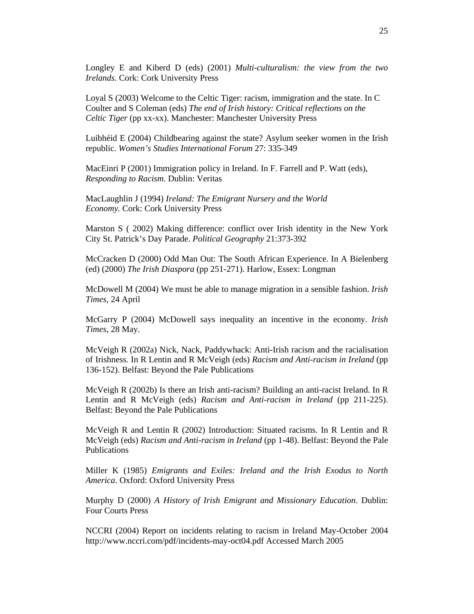Longley E and Kiberd D (eds) (2001) *Multi-culturalism: the view from the two Irelands.* Cork: Cork University Press

Loyal S (2003) Welcome to the Celtic Tiger: racism, immigration and the state. In C Coulter and S Coleman (eds) *The end of Irish history: Critical reflections on the Celtic Tiger* (pp xx-xx). Manchester: Manchester University Press

Luibhéid E (2004) Childbearing against the state? Asylum seeker women in the Irish republic. *Women's Studies International Forum* 27: 335-349

MacEinri P (2001) Immigration policy in Ireland. In F. Farrell and P. Watt (eds), *Responding to Racism.* Dublin: Veritas

MacLaughlin J (1994) *Ireland: The Emigrant Nursery and the World Economy.* Cork: Cork University Press

Marston S ( 2002) Making difference: conflict over Irish identity in the New York City St. Patrick's Day Parade. *Political Geography* 21:373-392

McCracken D (2000) Odd Man Out: The South African Experience. In A Bielenberg (ed) (2000) *The Irish Diaspora* (pp 251-271). Harlow, Essex: Longman

McDowell M (2004) We must be able to manage migration in a sensible fashion. *Irish Times*, 24 April

McGarry P (2004) McDowell says inequality an incentive in the economy. *Irish Times*, 28 May.

McVeigh R (2002a) Nick, Nack, Paddywhack: Anti-Irish racism and the racialisation of Irishness. In R Lentin and R McVeigh (eds) *Racism and Anti-racism in Ireland* (pp 136-152). Belfast: Beyond the Pale Publications

McVeigh R (2002b) Is there an Irish anti-racism? Building an anti-racist Ireland. In R Lentin and R McVeigh (eds) *Racism and Anti-racism in Ireland* (pp 211-225). Belfast: Beyond the Pale Publications

McVeigh R and Lentin R (2002) Introduction: Situated racisms. In R Lentin and R McVeigh (eds) *Racism and Anti-racism in Ireland* (pp 1-48). Belfast: Beyond the Pale Publications

Miller K (1985) *Emigrants and Exiles: Ireland and the Irish Exodus to North America*. Oxford: Oxford University Press

Murphy D (2000) *A History of Irish Emigrant and Missionary Education*. Dublin: Four Courts Press

NCCRI (2004) Report on incidents relating to racism in Ireland May-October 2004 http://www.nccri.com/pdf/incidents-may-oct04.pdf Accessed March 2005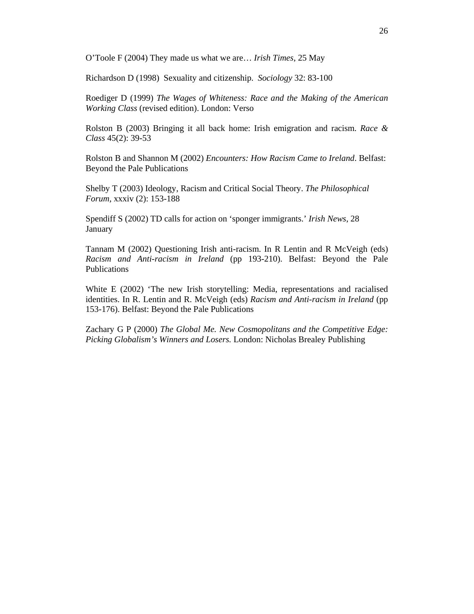O'Toole F (2004) They made us what we are… *Irish Times*, 25 May

Richardson D (1998) Sexuality and citizenship. *Sociology* 32: 83-100

Roediger D (1999) *The Wages of Whiteness: Race and the Making of the American Working Class* (revised edition). London: Verso

Rolston B (2003) Bringing it all back home: Irish emigration and racism. *Race & Class* 45(2): 39-53

Rolston B and Shannon M (2002) *Encounters: How Racism Came to Ireland*. Belfast: Beyond the Pale Publications

Shelby T (2003) Ideology, Racism and Critical Social Theory. *The Philosophical Forum*, xxxiv (2): 153-188

Spendiff S (2002) TD calls for action on 'sponger immigrants.' *Irish News*, 28 January

Tannam M (2002) Questioning Irish anti-racism. In R Lentin and R McVeigh (eds) *Racism and Anti-racism in Ireland* (pp 193-210). Belfast: Beyond the Pale Publications

White E (2002) 'The new Irish storytelling: Media, representations and racialised identities. In R. Lentin and R. McVeigh (eds) *Racism and Anti-racism in Ireland* (pp 153-176). Belfast: Beyond the Pale Publications

Zachary G P (2000) *The Global Me. New Cosmopolitans and the Competitive Edge: Picking Globalism's Winners and Losers.* London: Nicholas Brealey Publishing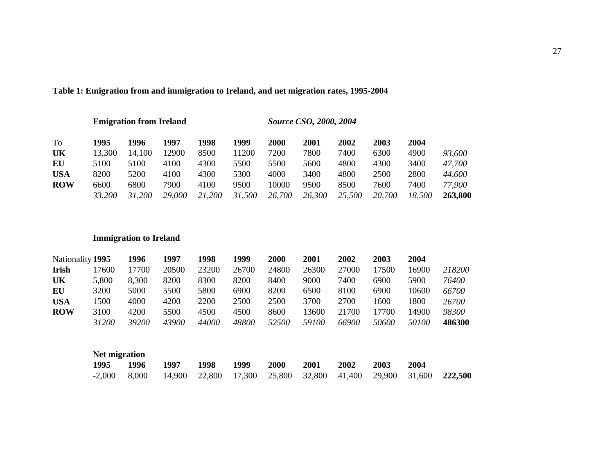### **Table 1: Emigration from and immigration to Ireland, and net migration rates, 1995-2004**

**Emigration from Ireland** *Source CSO, 2000, 2004* 

| To         | 1995   | 1996   | 1997   | 1998   | 1999   | 2000   | 2001   | 2002   | 2003   | 2004   |         |
|------------|--------|--------|--------|--------|--------|--------|--------|--------|--------|--------|---------|
| UK         | 13,300 | 14,100 | 12900  | 8500   | 1200   | 7200   | 7800   | 7400   | 6300   | 4900   | 93,600  |
| EU         | 5100   | 5100   | 4100   | 4300   | 5500   | 5500   | 5600   | 4800   | 4300   | 3400   | 47,700  |
| <b>USA</b> | 8200   | 5200   | 4100   | 4300   | 5300   | 4000   | 3400   | 4800   | 2500   | 2800   | 44,600  |
| <b>ROW</b> | 6600   | 6800   | 7900   | 4100   | 9500   | 10000  | 9500   | 8500   | 7600   | 7400   | 77,900  |
|            | 33,200 | 31,200 | 29,000 | 21,200 | 31,500 | 26,700 | 26,300 | 25,500 | 20,700 | 18,500 | 263,800 |

### **Immigration to Ireland**

| Nationality 1995 |              | 1996         | 1997  | 1998  | 1999  | 2000         | 2001         | 2002  | 2003  | 2004         |        |
|------------------|--------------|--------------|-------|-------|-------|--------------|--------------|-------|-------|--------------|--------|
| <b>Irish</b>     | .7600        | 17700        | 20500 | 23200 | 26700 | 24800        | 26300        | 27000 | 17500 | 16900        | 218200 |
| UK               | 5,800        | 8,300        | 8200  | 8300  | 8200  | 8400         | 9000         | 7400  | 6900  | 5900         | 76400  |
| EU               | 3200         | 5000         | 5500  | 5800  | 6900  | 8200         | 6500         | 8100  | 6900  | 10600        | 66700  |
| USA              | 1500         | 4000         | 4200  | 2200  | 2500  | 2500         | 3700         | 2700  | 1600  | 1800         | 26700  |
| <b>ROW</b>       | 3100         | 4200         | 5500  | 4500  | 4500  | 8600         | 13600        | 21700 | 17700 | 14900        | 98300  |
|                  | <i>31200</i> | <i>39200</i> | 43900 | 44000 | 48800 | <i>52500</i> | <i>59100</i> | 66900 | 50600 | <i>50100</i> | 486300 |

| Net migration |       |      |      |      |             |             |      |      |      |                                                                 |
|---------------|-------|------|------|------|-------------|-------------|------|------|------|-----------------------------------------------------------------|
| 1995          | 1996  | 1997 | 1998 | 1999 | <b>2000</b> | <b>2001</b> | 2002 | 2003 | 2004 |                                                                 |
| $-2,000$      | 8.000 |      |      |      |             |             |      |      |      | 14,900 22,800 17,300 25,800 32,800 41,400 29,900 31,600 222,500 |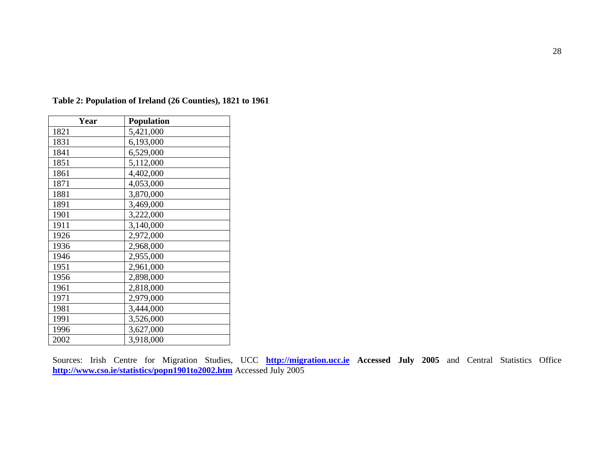| Year | <b>Population</b> |
|------|-------------------|
| 1821 | 5,421,000         |
| 1831 | 6,193,000         |
| 1841 | 6,529,000         |
| 1851 | 5,112,000         |
| 1861 | 4,402,000         |
| 1871 | 4,053,000         |
| 1881 | 3,870,000         |
| 1891 | 3,469,000         |
| 1901 | 3,222,000         |
| 1911 | 3,140,000         |
| 1926 | 2,972,000         |
| 1936 | 2,968,000         |
| 1946 | 2,955,000         |
| 1951 | 2,961,000         |
| 1956 | 2,898,000         |
| 1961 | 2,818,000         |
| 1971 | 2,979,000         |
| 1981 | 3,444,000         |
| 1991 | 3,526,000         |
| 1996 | 3,627,000         |
| 2002 | 3,918,000         |

**Table 2: Population of Ireland (26 Counties), 1821 to 1961** 

Sources: Irish Centre for Migration Studies, UCC **http://migration.ucc.ie Accessed July 2005** and Central Statistics Office **http://www.cso.ie/statistics/popn1901to2002.htm** Accessed July 2005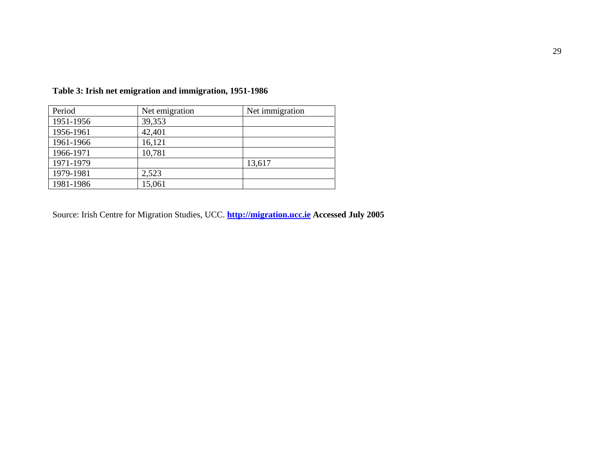| Period    | Net emigration | Net immigration |
|-----------|----------------|-----------------|
| 1951-1956 | 39,353         |                 |
| 1956-1961 | 42,401         |                 |
| 1961-1966 | 16,121         |                 |
| 1966-1971 | 10,781         |                 |
| 1971-1979 |                | 13,617          |
| 1979-1981 | 2,523          |                 |
| 1981-1986 | 15,061         |                 |

**Table 3: Irish net emigration and immigration, 1951-1986** 

Source: Irish Centre for Migration Studies, UCC. **http://migration.ucc.ie Accessed July 2005**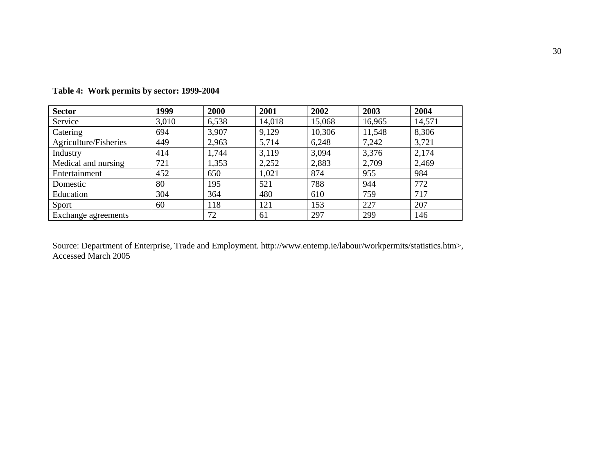| <b>Sector</b>         | 1999  | 2000  | 2001   | 2002   | 2003   | 2004   |
|-----------------------|-------|-------|--------|--------|--------|--------|
| Service               | 3,010 | 6,538 | 14,018 | 15,068 | 16,965 | 14,571 |
| Catering              | 694   | 3,907 | 9,129  | 10,306 | 11,548 | 8,306  |
| Agriculture/Fisheries | 449   | 2,963 | 5,714  | 6,248  | 7,242  | 3,721  |
| Industry              | 414   | 1,744 | 3,119  | 3,094  | 3,376  | 2,174  |
| Medical and nursing   | 721   | 1,353 | 2,252  | 2,883  | 2,709  | 2,469  |
| Entertainment         | 452   | 650   | 1,021  | 874    | 955    | 984    |
| Domestic              | 80    | 195   | 521    | 788    | 944    | 772    |
| Education             | 304   | 364   | 480    | 610    | 759    | 717    |
| Sport                 | 60    | 118   | 121    | 153    | 227    | 207    |
| Exchange agreements   |       | 72    | 61     | 297    | 299    | 146    |

**Table 4: Work permits by sector: 1999-2004** 

Source: Department of Enterprise, Trade and Employment. http://www.entemp.ie/labour/workpermits/statistics.htm>, Accessed March 2005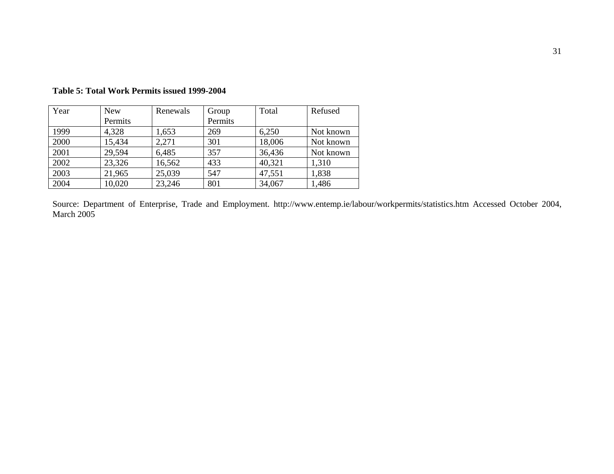| Year | <b>New</b> | Renewals | Group   | Total  | Refused   |
|------|------------|----------|---------|--------|-----------|
|      | Permits    |          | Permits |        |           |
| 1999 | 4,328      | 1,653    | 269     | 6,250  | Not known |
| 2000 | 15,434     | 2,271    | 301     | 18,006 | Not known |
| 2001 | 29,594     | 6,485    | 357     | 36,436 | Not known |
| 2002 | 23,326     | 16,562   | 433     | 40,321 | 1,310     |
| 2003 | 21,965     | 25,039   | 547     | 47,551 | 1,838     |
| 2004 | 10,020     | 23,246   | 801     | 34,067 | 1,486     |

**Table 5: Total Work Permits issued 1999-2004** 

Source: Department of Enterprise, Trade and Employment. http://www.entemp.ie/labour/workpermits/statistics.htm Accessed October 2004, March 2005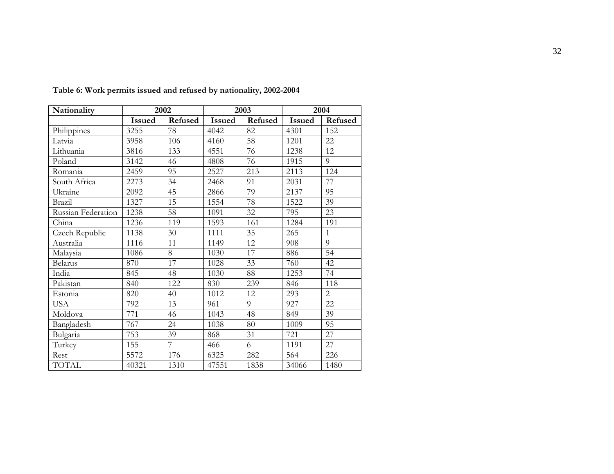| Nationality        | 2002          |                |               | 2003    | 2004          |                |  |
|--------------------|---------------|----------------|---------------|---------|---------------|----------------|--|
|                    | <b>Issued</b> | Refused        | <b>Issued</b> | Refused | <b>Issued</b> | Refused        |  |
| Philippines        | 3255          | 78             | 4042          | 82      | 4301          | 152            |  |
| Latvia             | 3958          | 106            | 4160          | 58      | 1201          | 22             |  |
| Lithuania          | 3816          | 133            | 4551          | 76      | 1238          | 12             |  |
| Poland             | 3142          | 46             | 4808          | 76      | 1915          | 9              |  |
| Romania            | 2459          | 95             | 2527          | 213     | 2113          | 124            |  |
| South Africa       | 2273          | 34             | 2468          | 91      | 2031          | 77             |  |
| Ukraine            | 2092          | 45             | 2866          | 79      | 2137          | 95             |  |
| Brazil             | 1327          | 15             | 1554          | 78      | 1522          | 39             |  |
| Russian Federation | 1238          | 58             | 1091          | 32      | 795           | 23             |  |
| China              | 1236          | 119            | 1593          | 161     | 1284          | 191            |  |
| Czech Republic     | 1138          | 30             | 1111          | 35      | 265           | $\mathbf{1}$   |  |
| Australia          | 1116          | 11             | 1149          | 12      | 908           | 9              |  |
| Malaysia           | 1086          | 8              | 1030          | 17      | 886           | 54             |  |
| <b>Belarus</b>     | 870           | 17             | 1028          | 33      | 760           | 42             |  |
| India              | 845           | 48             | 1030          | 88      | 1253          | 74             |  |
| Pakistan           | 840           | 122            | 830           | 239     | 846           | 118            |  |
| Estonia            | 820           | 40             | 1012          | 12      | 293           | $\overline{2}$ |  |
| <b>USA</b>         | 792           | 13             | 961           | 9       | 927           | 22             |  |
| Moldova            | 771           | 46             | 1043          | 48      | 849           | 39             |  |
| Bangladesh         | 767           | 24             | 1038          | 80      | 1009          | 95             |  |
| Bulgaria           | 753           | 39             | 868           | 31      | 721           | 27             |  |
| Turkey             | 155           | $\overline{7}$ | 466           | 6       | 1191          | 27             |  |
| Rest               | 5572          | 176            | 6325          | 282     | 564           | 226            |  |
| <b>TOTAL</b>       | 40321         | 1310           | 47551         | 1838    | 34066         | 1480           |  |

**Table 6: Work permits issued and refused by nationality, 2002-2004**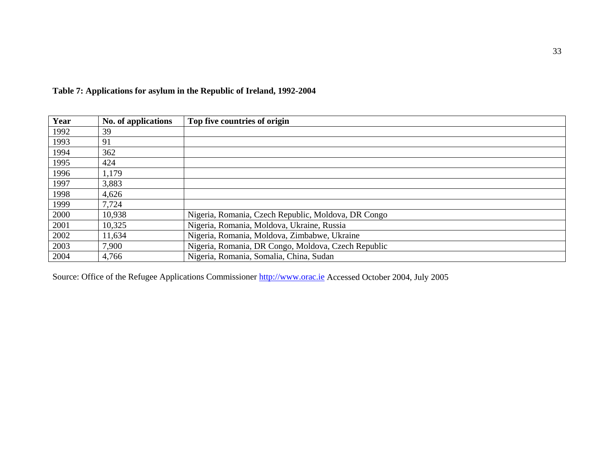| Year | No. of applications | Top five countries of origin                        |
|------|---------------------|-----------------------------------------------------|
| 1992 | 39                  |                                                     |
| 1993 | 91                  |                                                     |
| 1994 | 362                 |                                                     |
| 1995 | 424                 |                                                     |
| 1996 | 1,179               |                                                     |
| 1997 | 3,883               |                                                     |
| 1998 | 4,626               |                                                     |
| 1999 | 7,724               |                                                     |
| 2000 | 10,938              | Nigeria, Romania, Czech Republic, Moldova, DR Congo |
| 2001 | 10,325              | Nigeria, Romania, Moldova, Ukraine, Russia          |
| 2002 | 11,634              | Nigeria, Romania, Moldova, Zimbabwe, Ukraine        |
| 2003 | 7,900               | Nigeria, Romania, DR Congo, Moldova, Czech Republic |
| 2004 | 4,766               | Nigeria, Romania, Somalia, China, Sudan             |

## **Table 7: Applications for asylum in the Republic of Ireland, 1992-2004**

Source: Office of the Refugee Applications Commissioner http://www.orac.ie Accessed October 2004, July 2005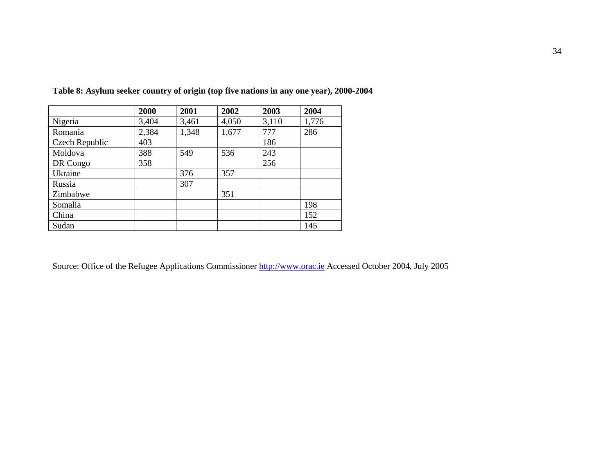|                | 2000  | 2001  | 2002  | 2003  | 2004  |
|----------------|-------|-------|-------|-------|-------|
| Nigeria        | 3,404 | 3,461 | 4,050 | 3,110 | 1,776 |
| Romania        | 2,384 | 1,348 | 1,677 | 777   | 286   |
| Czech Republic | 403   |       |       | 186   |       |
| Moldova        | 388   | 549   | 536   | 243   |       |
| DR Congo       | 358   |       |       | 256   |       |
| Ukraine        |       | 376   | 357   |       |       |
| Russia         |       | 307   |       |       |       |
| Zimbabwe       |       |       | 351   |       |       |
| Somalia        |       |       |       |       | 198   |
| China          |       |       |       |       | 152   |
| Sudan          |       |       |       |       | 145   |

**Table 8: Asylum seeker country of origin (top five nations in any one year), 2000-2004** 

Source: Office of the Refugee Applications Commissioner http://www.orac.ie Accessed October 2004, July 2005